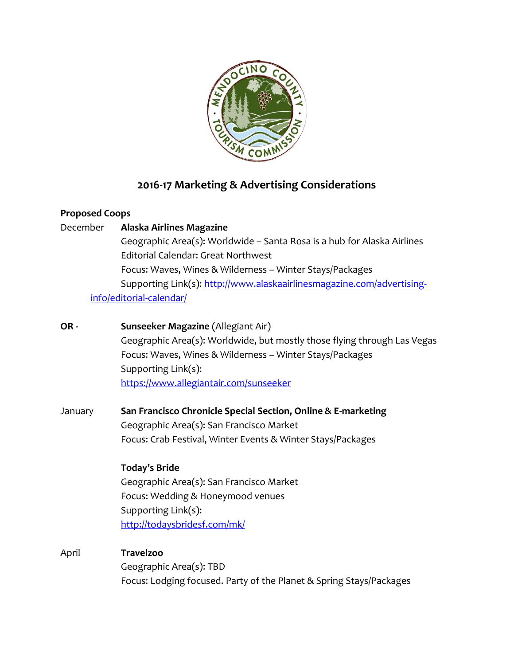

# **2016-17 Marketing & Advertising Considerations**

### **Proposed Coops**

December **Alaska Airlines Magazine** Geographic Area(s): Worldwide – Santa Rosa is a hub for Alaska Airlines Editorial Calendar: Great Northwest Focus: Waves, Wines & Wilderness – Winter Stays/Packages Supporting Link(s): [http://www.alaskaairlinesmagazine.com/advertising](http://www.alaskaairlinesmagazine.com/advertising-info/editorial-calendar/)[info/editorial-calendar/](http://www.alaskaairlinesmagazine.com/advertising-info/editorial-calendar/)

- **OR - Sunseeker Magazine** (Allegiant Air) Geographic Area(s): Worldwide, but mostly those flying through Las Vegas Focus: Waves, Wines & Wilderness – Winter Stays/Packages Supporting Link(s): <https://www.allegiantair.com/sunseeker>
- January **San Francisco Chronicle Special Section, Online & E-marketing** Geographic Area(s): San Francisco Market Focus: Crab Festival, Winter Events & Winter Stays/Packages

# **Today's Bride**

Geographic Area(s): San Francisco Market Focus: Wedding & Honeymood venues Supporting Link(s): <http://todaysbridesf.com/mk/>

April **Travelzoo** Geographic Area(s): TBD

Focus: Lodging focused. Party of the Planet & Spring Stays/Packages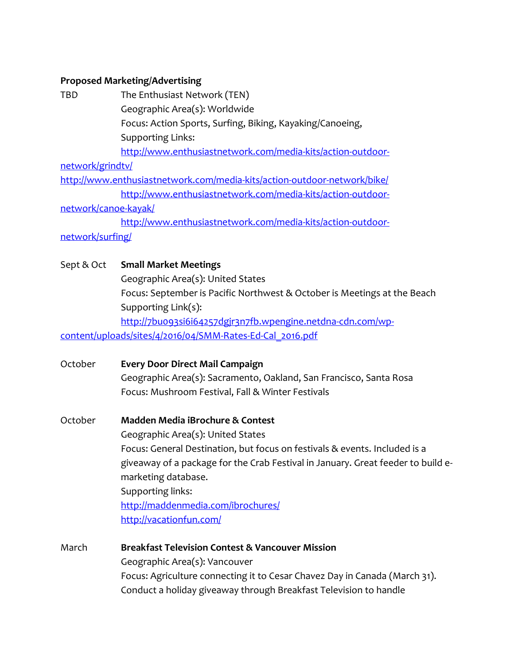## **Proposed Marketing/Advertising**

| <b>TBD</b>           | The Enthusiast Network (TEN)                                                     |
|----------------------|----------------------------------------------------------------------------------|
|                      | Geographic Area(s): Worldwide                                                    |
|                      | Focus: Action Sports, Surfing, Biking, Kayaking/Canoeing,                        |
|                      | <b>Supporting Links:</b>                                                         |
|                      | http://www.enthusiastnetwork.com/media-kits/action-outdoor-                      |
| network/grindty/     |                                                                                  |
|                      | http://www.enthusiastnetwork.com/media-kits/action-outdoor-network/bike/         |
|                      | http://www.enthusiastnetwork.com/media-kits/action-outdoor-                      |
| network/canoe-kayak/ |                                                                                  |
|                      | http://www.enthusiastnetwork.com/media-kits/action-outdoor-                      |
| network/surfing/     |                                                                                  |
| Sept & Oct           | <b>Small Market Meetings</b>                                                     |
|                      | Geographic Area(s): United States                                                |
|                      | Focus: September is Pacific Northwest & October is Meetings at the Beach         |
|                      | Supporting Link(s):                                                              |
|                      | http://7buo93si6i64257dgjr3n7fb.wpengine.netdna-cdn.com/wp-                      |
|                      | content/uploads/sites/4/2016/04/SMM-Rates-Ed-Cal_2016.pdf                        |
| October              | <b>Every Door Direct Mail Campaign</b>                                           |
|                      | Geographic Area(s): Sacramento, Oakland, San Francisco, Santa Rosa               |
|                      | Focus: Mushroom Festival, Fall & Winter Festivals                                |
| October              | Madden Media iBrochure & Contest                                                 |
|                      | Geographic Area(s): United States                                                |
|                      | Focus: General Destination, but focus on festivals & events. Included is a       |
|                      | giveaway of a package for the Crab Festival in January. Great feeder to build e- |
|                      | marketing database.                                                              |
|                      | Supporting links:                                                                |
|                      | http://maddenmedia.com/ibrochures/                                               |
|                      | http://vacationfun.com/                                                          |
| March                | <b>Breakfast Television Contest &amp; Vancouver Mission</b>                      |
|                      | Geographic Area(s): Vancouver                                                    |

Focus: Agriculture connecting it to Cesar Chavez Day in Canada (March 31).

Conduct a holiday giveaway through Breakfast Television to handle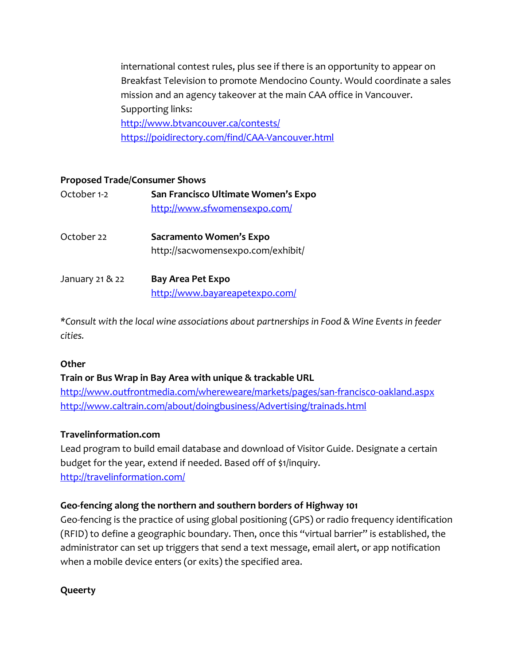international contest rules, plus see if there is an opportunity to appear on Breakfast Television to promote Mendocino County. Would coordinate a sales mission and an agency takeover at the main CAA office in Vancouver. Supporting links: <http://www.btvancouver.ca/contests/> <https://poidirectory.com/find/CAA-Vancouver.html>

#### **Proposed Trade/Consumer Shows**

| October 1-2     | San Francisco Ultimate Women's Expo<br>http://www.sfwomensexpo.com/ |
|-----------------|---------------------------------------------------------------------|
| October 22      | Sacramento Women's Expo<br>http://sacwomensexpo.com/exhibit/        |
| January 21 & 22 | <b>Bay Area Pet Expo</b><br>http://www.bayareapetexpo.com/          |

*\*Consult with the local wine associations about partnerships in Food & Wine Events in feeder cities.*

#### **Other**

#### **Train or Bus Wrap in Bay Area with unique & trackable URL**

<http://www.outfrontmedia.com/whereweare/markets/pages/san-francisco-oakland.aspx> <http://www.caltrain.com/about/doingbusiness/Advertising/trainads.html>

#### **Travelinformation.com**

Lead program to build email database and download of Visitor Guide. Designate a certain budget for the year, extend if needed. Based off of \$1/inquiry. <http://travelinformation.com/>

#### **Geo-fencing along the northern and southern borders of Highway 101**

Geo-fencing is the practice of using global positioning (GPS) or radio frequency identification (RFID) to define a geographic boundary. Then, once this "virtual barrier" is established, the administrator can set up triggers that send a text message, email alert, or app notification when a mobile device enters (or exits) the specified area.

#### **Queerty**